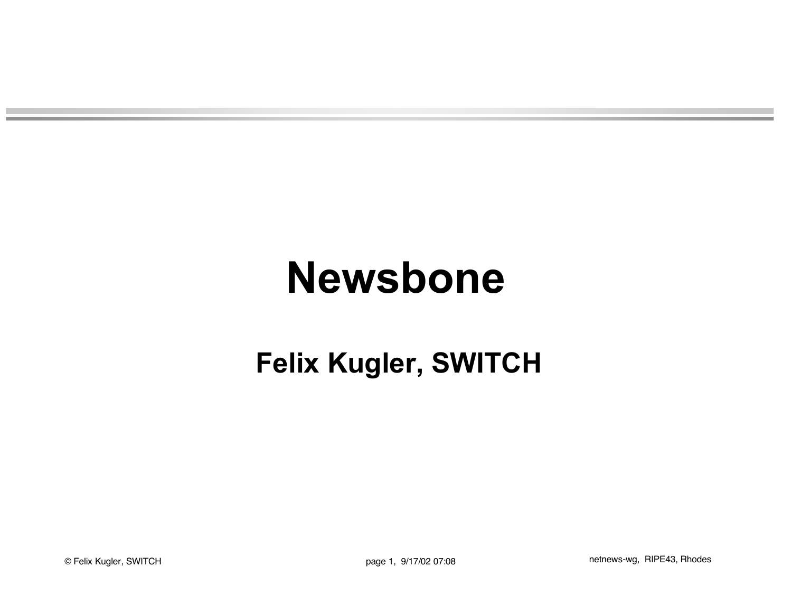# **Newsbone**

### **Felix Kugler, SWITCH**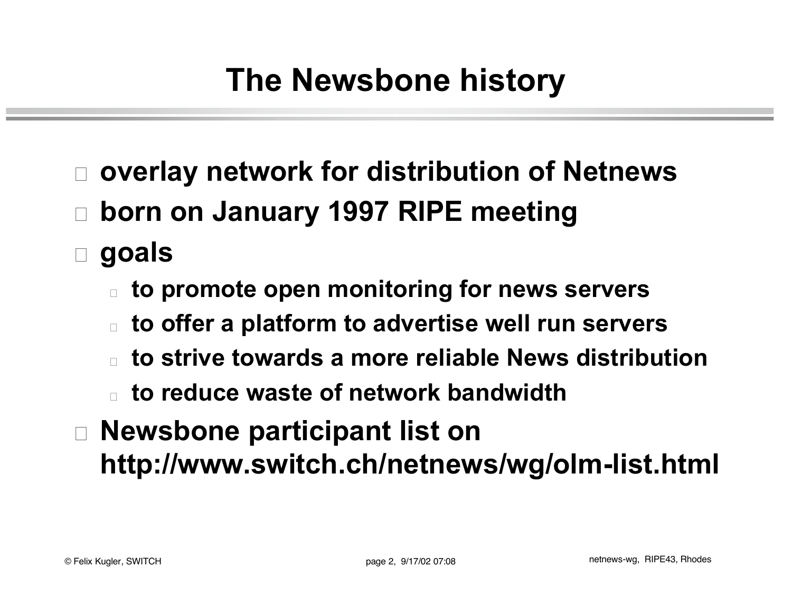- □ overlay network for distribution of Netnews
- □ born on January 1997 RIPE meeting
- □ goals
	- <sup>o</sup> **to promote open monitoring for news servers**
	- <sup>o</sup> **to offer a platform to advertise well run servers**
	- <sup>o</sup> **to strive towards a more reliable News distribution**
	- <sup>o</sup> **to reduce waste of network bandwidth**
- <sup>o</sup> **Newsbone participant list on http://www.switch.ch/netnews/wg/olm-list.html**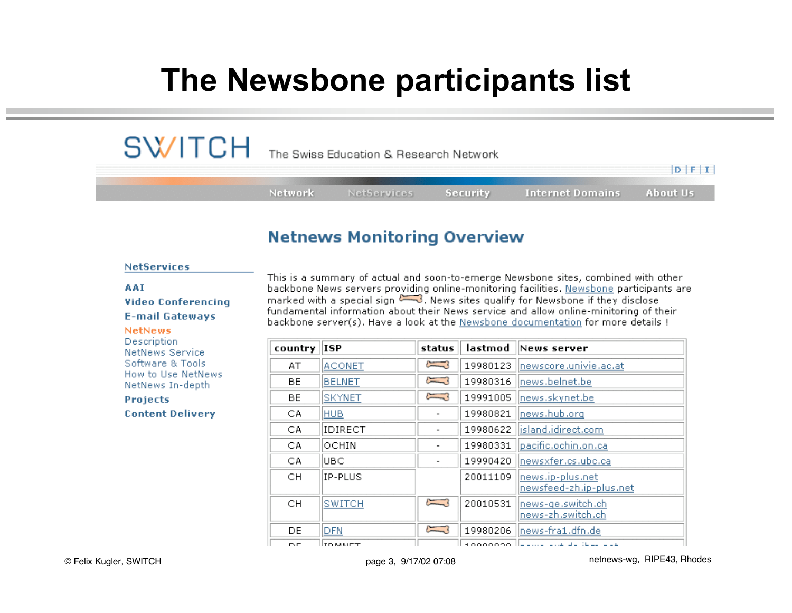## **The Newsbone participants list**

| $\mathsf{SW}/\mathsf{TCH}\;$ The Swiss Education & Research Network |         |                    |              |                                  |             |
|---------------------------------------------------------------------|---------|--------------------|--------------|----------------------------------|-------------|
|                                                                     |         |                    |              |                                  | $D$ $F$ $I$ |
|                                                                     | Network | <b>NetServices</b> | – Security I | <b>Internet Domains About Us</b> |             |

### **Netnews Monitoring Overview**

#### **NetServices**

#### AAI

**Video Conferencing E-mail Gateways** 

#### **NetNews**

Description **NetNews Service** Software & Tools How to Use NetNews NetNews In-depth

**Projects Content Delivery** 

This is a summary of actual and soon-to-emerge Newsbone sites, combined with other backbone News servers providing online-monitoring facilities. Newsbone participants are marked with a special sign  $\sim$ 3. News sites qualify for Newsbone if they disclose fundamental information about their News service and allow online-minitoring of their backbone server(s). Have a look at the Newsbone documentation for more details !

| country   | <b>ISP</b>    | status                   | lastmod  | News server                                         |
|-----------|---------------|--------------------------|----------|-----------------------------------------------------|
| AT        | <b>ACONET</b> | Ĵ                        | 19980123 | newscore.univie.ac.at                               |
| <b>BE</b> | <b>BELNET</b> | J                        | 19980316 | news.belnet.be                                      |
| BE.       | <b>SKYNET</b> | Į                        | 19991005 | news.skynet.be                                      |
| CA        | <b>HUB</b>    | $\overline{\phantom{a}}$ | 19980821 | news.hub.org                                        |
| СA        | IDIRECT       | $\overline{\phantom{a}}$ | 19980622 | island.idirect.com                                  |
| CA        | OCHIN         | $\overline{\phantom{a}}$ | 19980331 | pacific.ochin.on.ca                                 |
| CA        | IUBC.         | $\overline{\phantom{a}}$ | 19990420 | newsxfer.cs.ubc.ca                                  |
| CН        | IP-PLUS       |                          | 20011109 | news.ip-plus.net<br>newsfeed-zh.ip-plus.net         |
| CН        | <b>SWITCH</b> | م بير<br>بالمستقبل       | 20010531 | news-ge.switch.ch<br> news-zh.switch.ch             |
| DE.       | DFN           | $\sum$                   | 19980206 | news-fra1.dfn.de                                    |
| n.n       | ITO MALIET.   |                          |          | النواف وموازيه والمستوية والمستواط ووووووه والمراجع |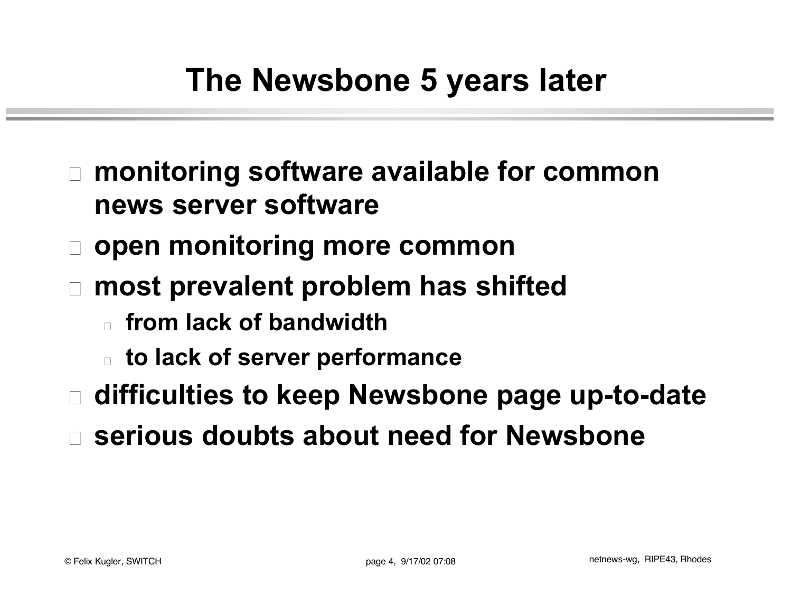- □ monitoring software available for common **news server software**
- □ open monitoring more common
- □ most prevalent problem has shifted
	- <sup>o</sup> **from lack of bandwidth**
	- <sup>o</sup> **to lack of server performance**
- □ difficulties to keep Newsbone page up-to-date
- o **serious doubts about need for Newsbone**